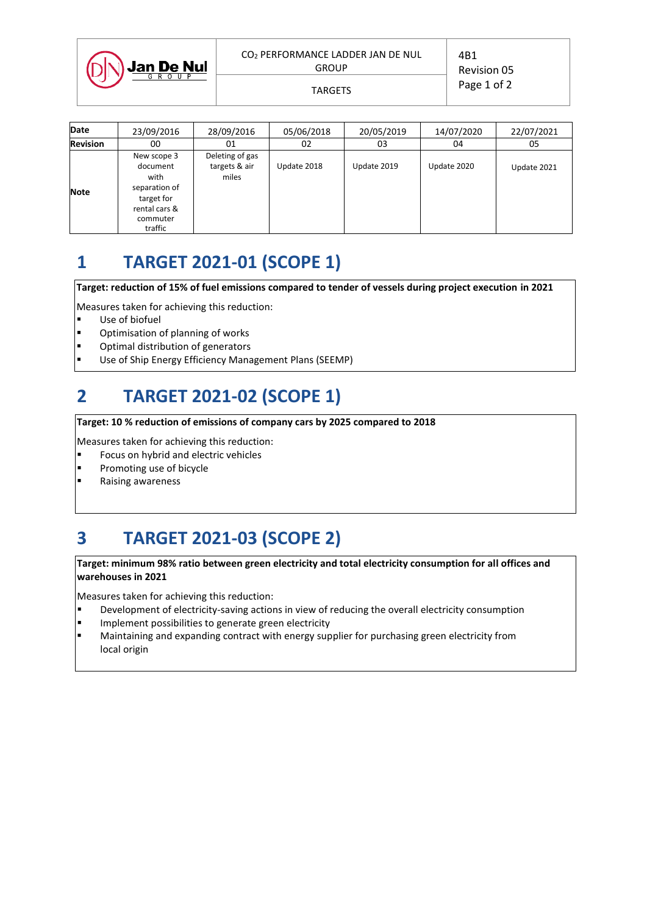| DI | <b>Jan De Nul</b> |  |
|----|-------------------|--|
|    |                   |  |
|    |                   |  |

4B1 Revision 05 Page 1 of 2 TARGETS

| <b>Date</b>     | 23/09/2016                                                                                             | 28/09/2016                                | 05/06/2018  | 20/05/2019  | 14/07/2020  | 22/07/2021  |
|-----------------|--------------------------------------------------------------------------------------------------------|-------------------------------------------|-------------|-------------|-------------|-------------|
| <b>Revision</b> | 00                                                                                                     | 01                                        | 02          | 03          | 04          | 05          |
| <b>Note</b>     | New scope 3<br>document<br>with<br>separation of<br>target for<br>rental cars &<br>commuter<br>traffic | Deleting of gas<br>targets & air<br>miles | Update 2018 | Update 2019 | Update 2020 | Update 2021 |

# **1 TARGET 2021-01 (SCOPE 1)**

**Target: reduction of 15% of fuel emissions compared to tender of vessels during project execution in 2021**

Measures taken for achieving this reduction:

- Use of biofuel
- Optimisation of planning of works
- Optimal distribution of generators
- Use of Ship Energy Efficiency Management Plans (SEEMP)

## **2 TARGET 2021-02 (SCOPE 1)**

#### **Target: 10 % reduction of emissions of company cars by 2025 compared to 2018**

Measures taken for achieving this reduction:

- Focus on hybrid and electric vehicles
- **Promoting use of bicycle**
- **Raising awareness**

# **3 TARGET 2021-03 (SCOPE 2)**

#### **Target: minimum 98% ratio between green electricity and total electricity consumption for all offices and warehouses in 2021**

Measures taken for achieving this reduction:

- Development of electricity-saving actions in view of reducing the overall electricity consumption
- Implement possibilities to generate green electricity
- Maintaining and expanding contract with energy supplier for purchasing green electricity from local origin